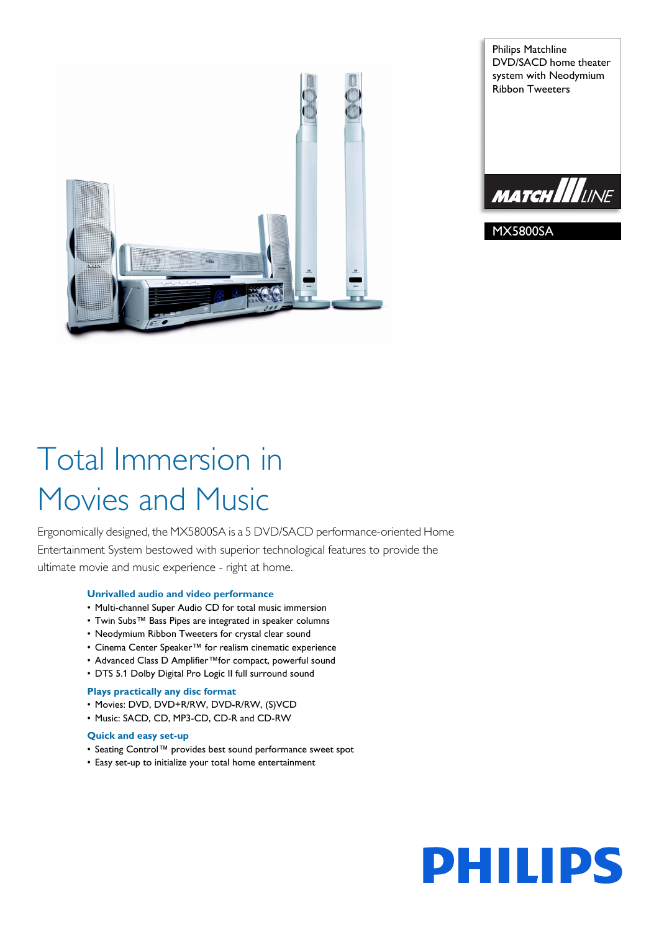

Philips Matchline DVD/SACD home theater system with Neodymium Ribbon Tweeters



MX5800SA

# Total Immersion in Movies and Music

Ergonomically designed, the MX5800SA is a 5 DVD/SACD performance-oriented Home Entertainment System bestowed with superior technological features to provide the ultimate movie and music experience - right at home.

# **Unrivalled audio and video performance**

- Multi-channel Super Audio CD for total music immersion
- Twin Subs™ Bass Pipes are integrated in speaker columns
- Neodymium Ribbon Tweeters for crystal clear sound
- Cinema Center Speaker™ for realism cinematic experience
- Advanced Class D Amplifier™for compact, powerful sound
- DTS 5.1 Dolby Digital Pro Logic II full surround sound

### **Plays practically any disc format**

- Movies: DVD, DVD+R/RW, DVD-R/RW, (S)VCD
- Music: SACD, CD, MP3-CD, CD-R and CD-RW

### **Quick and easy set-up**

- Seating Control™ provides best sound performance sweet spot
- Easy set-up to initialize your total home entertainment

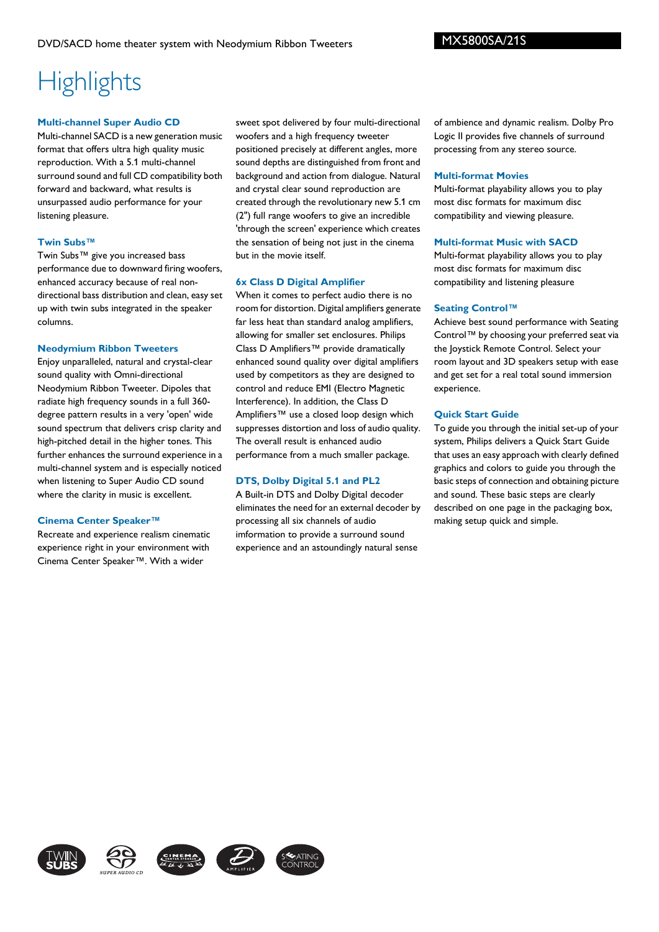# **Highlights**

### **Multi-channel Super Audio CD**

Multi-channel SACD is a new generation music format that offers ultra high quality music reproduction. With a 5.1 multi-channel surround sound and full CD compatibility both forward and backward, what results is unsurpassed audio performance for your listening pleasure.

### **Twin Subs™**

Twin Subs™ give you increased bass performance due to downward firing woofers, enhanced accuracy because of real nondirectional bass distribution and clean, easy set up with twin subs integrated in the speaker columns.

### **Neodymium Ribbon Tweeters**

Enjoy unparalleled, natural and crystal-clear sound quality with Omni-directional Neodymium Ribbon Tweeter. Dipoles that radiate high frequency sounds in a full 360 degree pattern results in a very 'open' wide sound spectrum that delivers crisp clarity and high-pitched detail in the higher tones. This further enhances the surround experience in a multi-channel system and is especially noticed when listening to Super Audio CD sound where the clarity in music is excellent.

# **Cinema Center Speaker™**

Recreate and experience realism cinematic experience right in your environment with Cinema Center Speaker™. With a wider

sweet spot delivered by four multi-directional woofers and a high frequency tweeter positioned precisely at different angles, more sound depths are distinguished from front and background and action from dialogue. Natural and crystal clear sound reproduction are created through the revolutionary new 5.1 cm (2") full range woofers to give an incredible 'through the screen' experience which creates the sensation of being not just in the cinema but in the movie itself.

### **6x Class D Digital Amplifier**

When it comes to perfect audio there is no room for distortion. Digital amplifiers generate far less heat than standard analog amplifiers, allowing for smaller set enclosures. Philips Class D Amplifiers™ provide dramatically enhanced sound quality over digital amplifiers used by competitors as they are designed to control and reduce EMI (Electro Magnetic Interference). In addition, the Class D Amplifiers™ use a closed loop design which suppresses distortion and loss of audio quality. The overall result is enhanced audio performance from a much smaller package.

# **DTS, Dolby Digital 5.1 and PL2**

A Built-in DTS and Dolby Digital decoder eliminates the need for an external decoder by processing all six channels of audio imformation to provide a surround sound experience and an astoundingly natural sense

of ambience and dynamic realism. Dolby Pro Logic II provides five channels of surround processing from any stereo source.

### **Multi-format Movies**

Multi-format playability allows you to play most disc formats for maximum disc compatibility and viewing pleasure.

# **Multi-format Music with SACD**

Multi-format playability allows you to play most disc formats for maximum disc compatibility and listening pleasure

### **Seating Control™**

Achieve best sound performance with Seating Control™ by choosing your preferred seat via the Joystick Remote Control. Select your room layout and 3D speakers setup with ease and get set for a real total sound immersion experience.

### **Quick Start Guide**

To guide you through the initial set-up of your system, Philips delivers a Quick Start Guide that uses an easy approach with clearly defined graphics and colors to guide you through the basic steps of connection and obtaining picture and sound. These basic steps are clearly described on one page in the packaging box, making setup quick and simple.